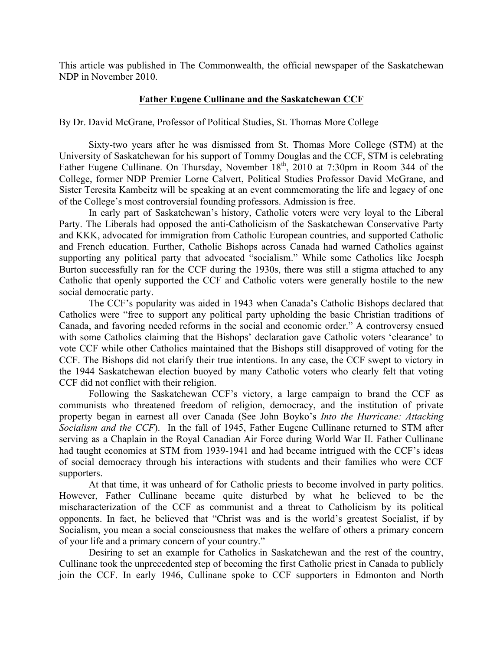This article was published in The Commonwealth, the official newspaper of the Saskatchewan NDP in November 2010.

## **Father Eugene Cullinane and the Saskatchewan CCF**

By Dr. David McGrane, Professor of Political Studies, St. Thomas More College

Sixty-two years after he was dismissed from St. Thomas More College (STM) at the University of Saskatchewan for his support of Tommy Douglas and the CCF, STM is celebrating Father Eugene Cullinane. On Thursday, November 18<sup>th</sup>, 2010 at 7:30pm in Room 344 of the College, former NDP Premier Lorne Calvert, Political Studies Professor David McGrane, and Sister Teresita Kambeitz will be speaking at an event commemorating the life and legacy of one of the College's most controversial founding professors. Admission is free.

In early part of Saskatchewan's history, Catholic voters were very loyal to the Liberal Party. The Liberals had opposed the anti-Catholicism of the Saskatchewan Conservative Party and KKK, advocated for immigration from Catholic European countries, and supported Catholic and French education. Further, Catholic Bishops across Canada had warned Catholics against supporting any political party that advocated "socialism." While some Catholics like Joesph Burton successfully ran for the CCF during the 1930s, there was still a stigma attached to any Catholic that openly supported the CCF and Catholic voters were generally hostile to the new social democratic party.

The CCF's popularity was aided in 1943 when Canada's Catholic Bishops declared that Catholics were "free to support any political party upholding the basic Christian traditions of Canada, and favoring needed reforms in the social and economic order." A controversy ensued with some Catholics claiming that the Bishops' declaration gave Catholic voters 'clearance' to vote CCF while other Catholics maintained that the Bishops still disapproved of voting for the CCF. The Bishops did not clarify their true intentions. In any case, the CCF swept to victory in the 1944 Saskatchewan election buoyed by many Catholic voters who clearly felt that voting CCF did not conflict with their religion.

Following the Saskatchewan CCF's victory, a large campaign to brand the CCF as communists who threatened freedom of religion, democracy, and the institution of private property began in earnest all over Canada (See John Boyko's *Into the Hurricane: Attacking Socialism and the CCF*). In the fall of 1945, Father Eugene Cullinane returned to STM after serving as a Chaplain in the Royal Canadian Air Force during World War II. Father Cullinane had taught economics at STM from 1939-1941 and had became intrigued with the CCF's ideas of social democracy through his interactions with students and their families who were CCF supporters.

At that time, it was unheard of for Catholic priests to become involved in party politics. However, Father Cullinane became quite disturbed by what he believed to be the mischaracterization of the CCF as communist and a threat to Catholicism by its political opponents. In fact, he believed that "Christ was and is the world's greatest Socialist, if by Socialism, you mean a social consciousness that makes the welfare of others a primary concern of your life and a primary concern of your country."

Desiring to set an example for Catholics in Saskatchewan and the rest of the country, Cullinane took the unprecedented step of becoming the first Catholic priest in Canada to publicly join the CCF. In early 1946, Cullinane spoke to CCF supporters in Edmonton and North